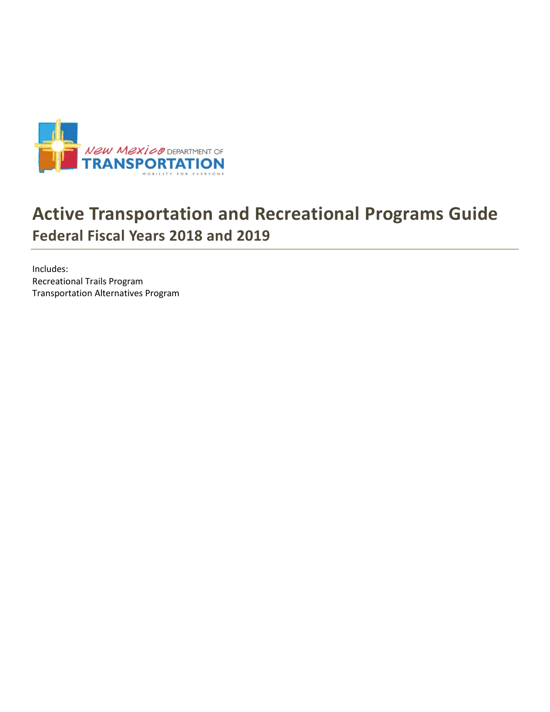

# **Active Transportation and Recreational Programs Guide Federal Fiscal Years 2018 and 2019**

Includes: Recreational Trails Program Transportation Alternatives Program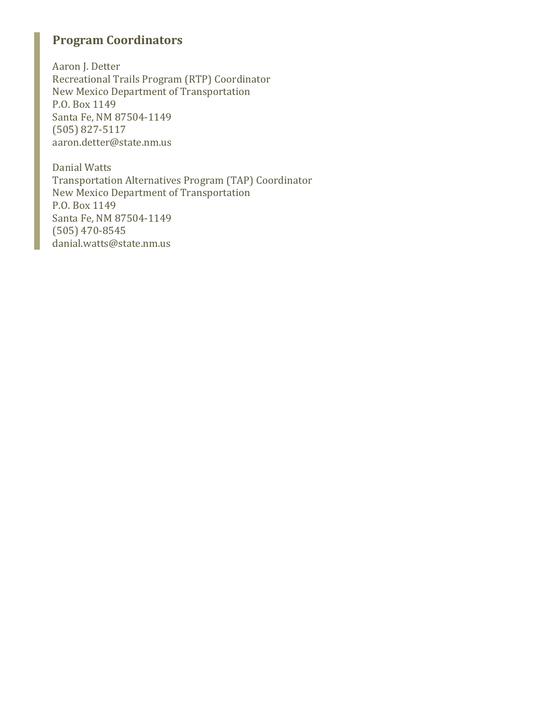# **Program Coordinators**

Aaron J. Detter Recreational Trails Program (RTP) Coordinator New Mexico Department of Transportation P.O. Box 1149 Santa Fe, NM 87504-1149 (505) 827-5117 aaron.detter@state.nm.us

Danial Watts Transportation Alternatives Program (TAP) Coordinator New Mexico Department of Transportation P.O. Box 1149 Santa Fe, NM 87504-1149 (505) 470-8545 danial.watts@state.nm.us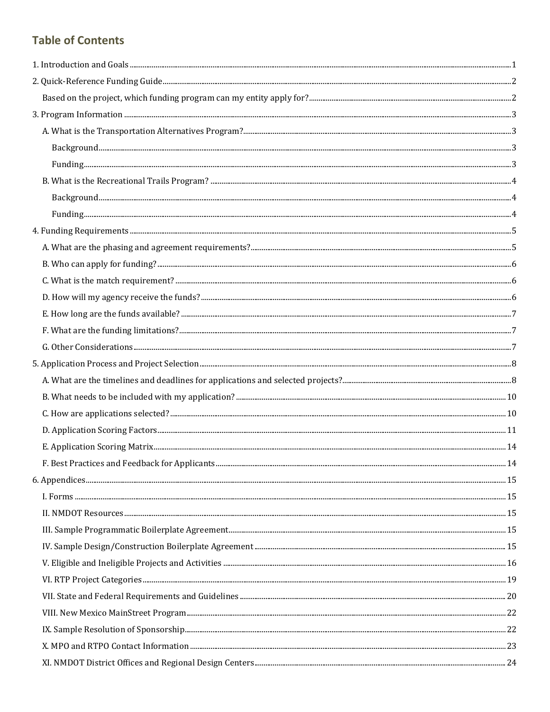# **Table of Contents**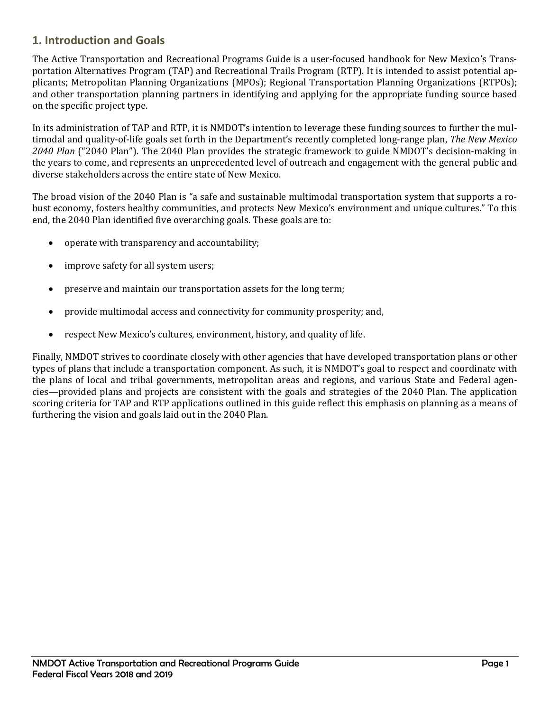# <span id="page-3-0"></span>**1. Introduction and Goals**

The Active Transportation and Recreational Programs Guide is a user-focused handbook for New Mexico's Transportation Alternatives Program (TAP) and Recreational Trails Program (RTP). It is intended to assist potential applicants; Metropolitan Planning Organizations (MPOs); Regional Transportation Planning Organizations (RTPOs); and other transportation planning partners in identifying and applying for the appropriate funding source based on the specific project type.

In its administration of TAP and RTP, it is NMDOT's intention to leverage these funding sources to further the multimodal and quality-of-life goals set forth in the Department's recently completed long-range plan, *The New Mexico 2040 Plan* ("2040 Plan"). The 2040 Plan provides the strategic framework to guide NMDOT's decision-making in the years to come, and represents an unprecedented level of outreach and engagement with the general public and diverse stakeholders across the entire state of New Mexico.

The broad vision of the 2040 Plan is "a safe and sustainable multimodal transportation system that supports a robust economy, fosters healthy communities, and protects New Mexico's environment and unique cultures." To this end, the 2040 Plan identified five overarching goals. These goals are to:

- operate with transparency and accountability;
- improve safety for all system users;
- preserve and maintain our transportation assets for the long term;
- provide multimodal access and connectivity for community prosperity; and,
- respect New Mexico's cultures, environment, history, and quality of life.

Finally, NMDOT strives to coordinate closely with other agencies that have developed transportation plans or other types of plans that include a transportation component. As such, it is NMDOT's goal to respect and coordinate with the plans of local and tribal governments, metropolitan areas and regions, and various State and Federal agencies—provided plans and projects are consistent with the goals and strategies of the 2040 Plan. The application scoring criteria for TAP and RTP applications outlined in this guide reflect this emphasis on planning as a means of furthering the vision and goals laid out in the 2040 Plan.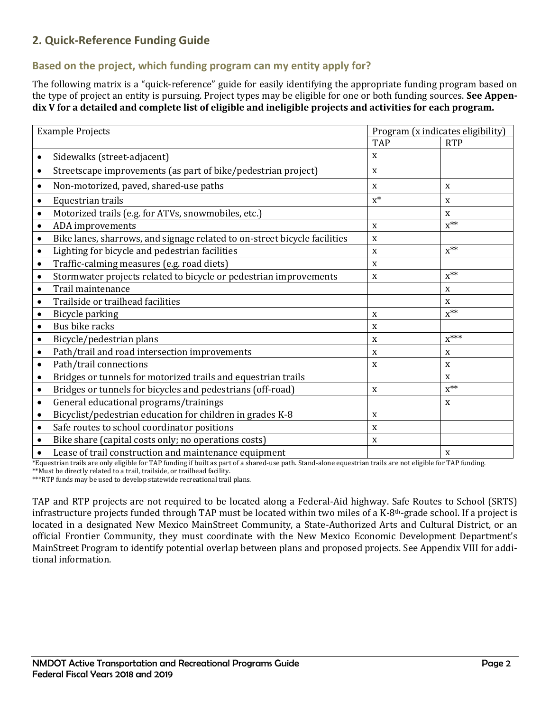# <span id="page-4-0"></span>**2. Quick-Reference Funding Guide**

# <span id="page-4-1"></span>**Based on the project, which funding program can my entity apply for?**

The following matrix is a "quick-reference" guide for easily identifying the appropriate funding program based on the type of project an entity is pursuing. Project types may be eligible for one or both funding sources. **See Appendix V for a detailed and complete list of eligible and ineligible projects and activities for each program.**

| <b>Example Projects</b>                                                                |             | Program (x indicates eligibility) |  |
|----------------------------------------------------------------------------------------|-------------|-----------------------------------|--|
|                                                                                        | <b>TAP</b>  | <b>RTP</b>                        |  |
| Sidewalks (street-adjacent)<br>$\bullet$                                               | X           |                                   |  |
| Streetscape improvements (as part of bike/pedestrian project)<br>$\bullet$             | X           |                                   |  |
| Non-motorized, paved, shared-use paths<br>$\bullet$                                    | $\mathbf X$ | X                                 |  |
| Equestrian trails<br>$\bullet$                                                         | $X^*$       | X                                 |  |
| Motorized trails (e.g. for ATVs, snowmobiles, etc.)                                    |             | X                                 |  |
| ADA improvements<br>$\bullet$                                                          | $\mathbf X$ | $x^{**}$                          |  |
| Bike lanes, sharrows, and signage related to on-street bicycle facilities<br>$\bullet$ | X           |                                   |  |
| Lighting for bicycle and pedestrian facilities<br>$\bullet$                            | $\mathbf X$ | $x^{**}$                          |  |
| Traffic-calming measures (e.g. road diets)<br>$\bullet$                                | X           |                                   |  |
| Stormwater projects related to bicycle or pedestrian improvements<br>$\bullet$         | X           | $x^{**}$                          |  |
| Trail maintenance<br>$\bullet$                                                         |             | X                                 |  |
| Trailside or trailhead facilities<br>$\bullet$                                         |             | $\mathbf x$                       |  |
| Bicycle parking<br>$\bullet$                                                           | X           | $x^{**}$                          |  |
| Bus bike racks                                                                         | X           |                                   |  |
| Bicycle/pedestrian plans                                                               | $\mathbf X$ | $X^{***}$                         |  |
| Path/trail and road intersection improvements                                          | X           | X                                 |  |
| Path/trail connections<br>$\bullet$                                                    | X           | X                                 |  |
| Bridges or tunnels for motorized trails and equestrian trails<br>$\bullet$             |             | X                                 |  |
| Bridges or tunnels for bicycles and pedestrians (off-road)<br>$\bullet$                | $\mathbf X$ | $x^{**}$                          |  |
| General educational programs/trainings<br>$\bullet$                                    |             | X                                 |  |
| Bicyclist/pedestrian education for children in grades K-8<br>$\bullet$                 | $\mathbf X$ |                                   |  |
| Safe routes to school coordinator positions<br>$\bullet$                               | X           |                                   |  |
| Bike share (capital costs only; no operations costs)<br>$\bullet$                      | $\mathbf X$ |                                   |  |
| Lease of trail construction and maintenance equipment                                  |             | X                                 |  |

\*Equestrian trails are only eligible for TAP funding if built as part of a shared-use path. Stand-alone equestrian trails are not eligible for TAP funding. \*\*Must be directly related to a trail, trailside, or trailhead facility.

\*\*\*RTP funds may be used to develop statewide recreational trail plans.

TAP and RTP projects are not required to be located along a Federal-Aid highway. Safe Routes to School (SRTS) infrastructure projects funded through TAP must be located within two miles of a K-8th-grade school. If a project is located in a designated New Mexico MainStreet Community, a State-Authorized Arts and Cultural District, or an official Frontier Community, they must coordinate with the New Mexico Economic Development Department's MainStreet Program to identify potential overlap between plans and proposed projects. See Appendix VIII for additional information.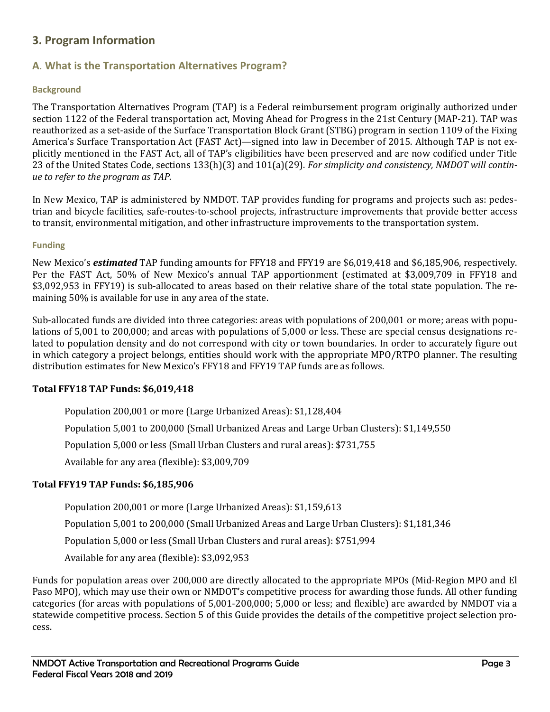# <span id="page-5-0"></span>**3. Program Information**

# <span id="page-5-1"></span>**A**. **What is the Transportation Alternatives Program?**

#### <span id="page-5-2"></span>**Background**

The Transportation Alternatives Program (TAP) is a Federal reimbursement program originally authorized under section 1122 of the Federal transportation act, Moving Ahead for Progress in the 21st Century (MAP-21). TAP was reauthorized as a set-aside of the Surface Transportation Block Grant (STBG) program in section 1109 of the Fixing America's Surface Transportation Act (FAST Act)—signed into law in December of 2015. Although TAP is not explicitly mentioned in the FAST Act, all of TAP's eligibilities have been preserved and are now codified under Title 23 of the United States Code, sections 133(h)(3) and 101(a)(29). *For simplicity and consistency, NMDOT will continue to refer to the program as TAP.*

In New Mexico, TAP is administered by NMDOT. TAP provides funding for programs and projects such as: pedestrian and bicycle facilities, safe-routes-to-school projects, infrastructure improvements that provide better access to transit, environmental mitigation, and other infrastructure improvements to the transportation system.

#### <span id="page-5-3"></span>**Funding**

New Mexico's *estimated* TAP funding amounts for FFY18 and FFY19 are \$6,019,418 and \$6,185,906, respectively. Per the FAST Act, 50% of New Mexico's annual TAP apportionment (estimated at \$3,009,709 in FFY18 and \$3,092,953 in FFY19) is sub-allocated to areas based on their relative share of the total state population. The remaining 50% is available for use in any area of the state.

Sub-allocated funds are divided into three categories: areas with populations of 200,001 or more; areas with populations of 5,001 to 200,000; and areas with populations of 5,000 or less. These are special census designations related to population density and do not correspond with city or town boundaries. In order to accurately figure out in which category a project belongs, entities should work with the appropriate MPO/RTPO planner. The resulting distribution estimates for New Mexico's FFY18 and FFY19 TAP funds are as follows.

#### **Total FFY18 TAP Funds: \$6,019,418**

Population 200,001 or more (Large Urbanized Areas): \$1,128,404

Population 5,001 to 200,000 (Small Urbanized Areas and Large Urban Clusters): \$1,149,550

Population 5,000 or less (Small Urban Clusters and rural areas): \$731,755

Available for any area (flexible): \$3,009,709

#### **Total FFY19 TAP Funds: \$6,185,906**

Population 200,001 or more (Large Urbanized Areas): \$1,159,613

Population 5,001 to 200,000 (Small Urbanized Areas and Large Urban Clusters): \$1,181,346

Population 5,000 or less (Small Urban Clusters and rural areas): \$751,994

Available for any area (flexible): \$3,092,953

Funds for population areas over 200,000 are directly allocated to the appropriate MPOs (Mid-Region MPO and El Paso MPO), which may use their own or NMDOT's competitive process for awarding those funds. All other funding categories (for areas with populations of 5,001-200,000; 5,000 or less; and flexible) are awarded by NMDOT via a statewide competitive process. Section 5 of this Guide provides the details of the competitive project selection process.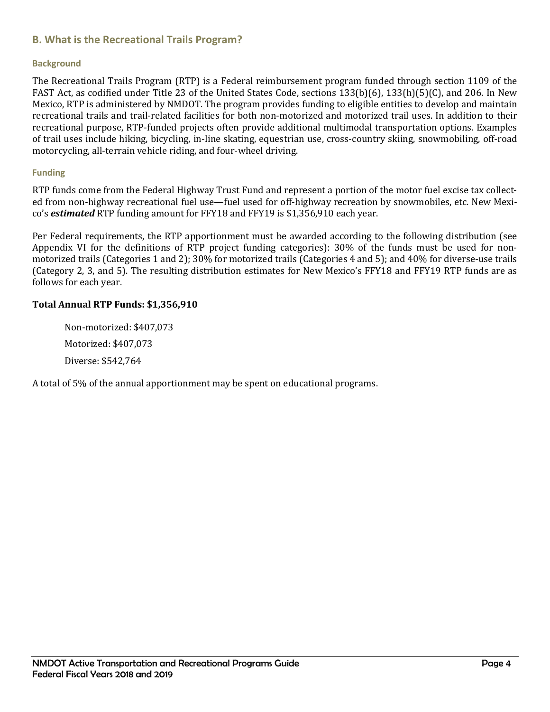# <span id="page-6-0"></span>**B. What is the Recreational Trails Program?**

#### <span id="page-6-1"></span>**Background**

The Recreational Trails Program (RTP) is a Federal reimbursement program funded through section 1109 of the FAST Act, as codified under Title 23 of the United States Code, sections 133(b)(6), 133(h)(5)(C), and 206. In New Mexico, RTP is administered by NMDOT. The program provides funding to eligible entities to develop and maintain recreational trails and trail-related facilities for both non-motorized and motorized trail uses. In addition to their recreational purpose, RTP-funded projects often provide additional multimodal transportation options. Examples of trail uses include hiking, bicycling, in-line skating, equestrian use, cross-country skiing, snowmobiling, off-road motorcycling, all-terrain vehicle riding, and four-wheel driving.

#### <span id="page-6-2"></span>**Funding**

RTP funds come from the Federal Highway Trust Fund and represent a portion of the motor fuel excise tax collected from non-highway recreational fuel use—fuel used for off-highway recreation by snowmobiles, etc. New Mexico's *estimated* RTP funding amount for FFY18 and FFY19 is \$1,356,910 each year.

Per Federal requirements, the RTP apportionment must be awarded according to the following distribution (see Appendix VI for the definitions of RTP project funding categories): 30% of the funds must be used for nonmotorized trails (Categories 1 and 2); 30% for motorized trails (Categories 4 and 5); and 40% for diverse-use trails (Category 2, 3, and 5). The resulting distribution estimates for New Mexico's FFY18 and FFY19 RTP funds are as follows for each year.

#### **Total Annual RTP Funds: \$1,356,910**

Non-motorized: \$407,073 Motorized: \$407,073 Diverse: \$542,764

A total of 5% of the annual apportionment may be spent on educational programs.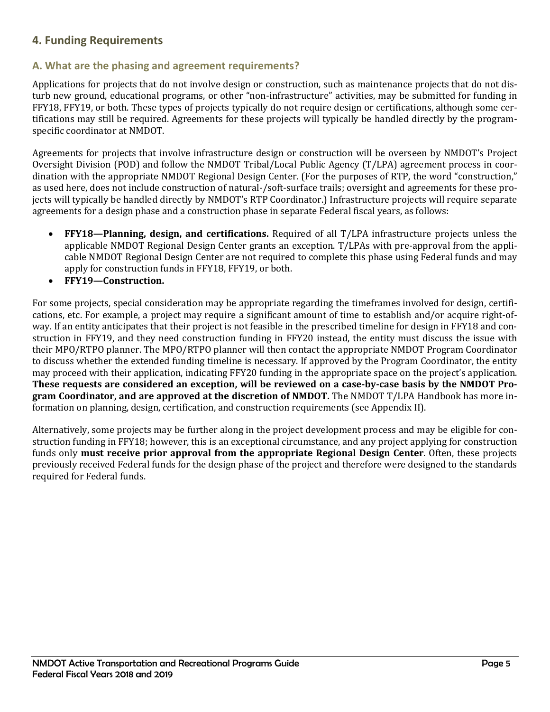# <span id="page-7-0"></span>**4. Funding Requirements**

# <span id="page-7-1"></span>**A. What are the phasing and agreement requirements?**

Applications for projects that do not involve design or construction, such as maintenance projects that do not disturb new ground, educational programs, or other "non-infrastructure" activities, may be submitted for funding in FFY18, FFY19, or both. These types of projects typically do not require design or certifications, although some certifications may still be required. Agreements for these projects will typically be handled directly by the programspecific coordinator at NMDOT.

Agreements for projects that involve infrastructure design or construction will be overseen by NMDOT's Project Oversight Division (POD) and follow the NMDOT Tribal/Local Public Agency (T/LPA) agreement process in coordination with the appropriate NMDOT Regional Design Center. (For the purposes of RTP, the word "construction," as used here, does not include construction of natural-/soft-surface trails; oversight and agreements for these projects will typically be handled directly by NMDOT's RTP Coordinator.) Infrastructure projects will require separate agreements for a design phase and a construction phase in separate Federal fiscal years, as follows:

- **FFY18—Planning, design, and certifications.** Required of all T/LPA infrastructure projects unless the applicable NMDOT Regional Design Center grants an exception. T/LPAs with pre-approval from the applicable NMDOT Regional Design Center are not required to complete this phase using Federal funds and may apply for construction funds in FFY18, FFY19, or both.
- **FFY19—Construction.**

For some projects, special consideration may be appropriate regarding the timeframes involved for design, certifications, etc. For example, a project may require a significant amount of time to establish and/or acquire right-ofway. If an entity anticipates that their project is not feasible in the prescribed timeline for design in FFY18 and construction in FFY19, and they need construction funding in FFY20 instead, the entity must discuss the issue with their MPO/RTPO planner. The MPO/RTPO planner will then contact the appropriate NMDOT Program Coordinator to discuss whether the extended funding timeline is necessary. If approved by the Program Coordinator, the entity may proceed with their application, indicating FFY20 funding in the appropriate space on the project's application. **These requests are considered an exception, will be reviewed on a case-by-case basis by the NMDOT Program Coordinator, and are approved at the discretion of NMDOT.** The NMDOT T/LPA Handbook has more information on planning, design, certification, and construction requirements (see Appendix II).

Alternatively, some projects may be further along in the project development process and may be eligible for construction funding in FFY18; however, this is an exceptional circumstance, and any project applying for construction funds only **must receive prior approval from the appropriate Regional Design Center**. Often, these projects previously received Federal funds for the design phase of the project and therefore were designed to the standards required for Federal funds.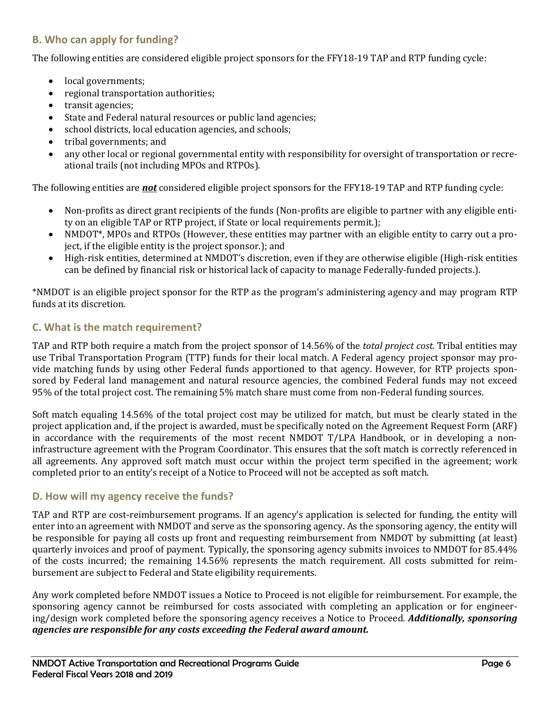# <span id="page-8-0"></span>**B. Who can apply for funding?**

The following entities are considered eligible project sponsors for the FFY18-19 TAP and RTP funding cycle:

- local governments;
- regional transportation authorities;
- transit agencies;
- State and Federal natural resources or public land agencies;
- school districts, local education agencies, and schools;
- tribal governments; and
- any other local or regional governmental entity with responsibility for oversight of transportation or recreational trails (not including MPOs and RTPOs).

The following entities are *not* considered eligible project sponsors for the FFY18-19 TAP and RTP funding cycle:

- Non-profits as direct grant recipients of the funds (Non-profits are eligible to partner with any eligible entity on an eligible TAP or RTP project, if State or local requirements permit.);
- NMDOT\*, MPOs and RTPOs (However, these entities may partner with an eligible entity to carry out a project, if the eligible entity is the project sponsor.); and
- High-risk entities, determined at NMDOT's discretion, even if they are otherwise eligible (High-risk entities can be defined by financial risk or historical lack of capacity to manage Federally-funded projects.).

\*NMDOT is an eligible project sponsor for the RTP as the program's administering agency and may program RTP funds at its discretion.

### <span id="page-8-1"></span>**C. What is the match requirement?**

TAP and RTP both require a match from the project sponsor of 14.56% of the *total project cost.* Tribal entities may use Tribal Transportation Program (TTP) funds for their local match. A Federal agency project sponsor may provide matching funds by using other Federal funds apportioned to that agency. However, for RTP projects sponsored by Federal land management and natural resource agencies, the combined Federal funds may not exceed 95% of the total project cost. The remaining 5% match share must come from non-Federal funding sources.

Soft match equaling 14.56% of the total project cost may be utilized for match, but must be clearly stated in the project application and, if the project is awarded, must be specifically noted on the Agreement Request Form (ARF) in accordance with the requirements of the most recent NMDOT T/LPA Handbook, or in developing a noninfrastructure agreement with the Program Coordinator. This ensures that the soft match is correctly referenced in all agreements. Any approved soft match must occur within the project term specified in the agreement; work completed prior to an entity's receipt of a Notice to Proceed will not be accepted as soft match.

#### <span id="page-8-2"></span>**D. How will my agency receive the funds?**

TAP and RTP are cost-reimbursement programs. If an agency's application is selected for funding, the entity will enter into an agreement with NMDOT and serve as the sponsoring agency. As the sponsoring agency, the entity will be responsible for paying all costs up front and requesting reimbursement from NMDOT by submitting (at least) quarterly invoices and proof of payment. Typically, the sponsoring agency submits invoices to NMDOT for 85.44% of the costs incurred; the remaining 14.56% represents the match requirement. All costs submitted for reimbursement are subject to Federal and State eligibility requirements.

Any work completed before NMDOT issues a Notice to Proceed is not eligible for reimbursement. For example, the sponsoring agency cannot be reimbursed for costs associated with completing an application or for engineering/design work completed before the sponsoring agency receives a Notice to Proceed. *Additionally, sponsoring agencies are responsible for any costs exceeding the Federal award amount.*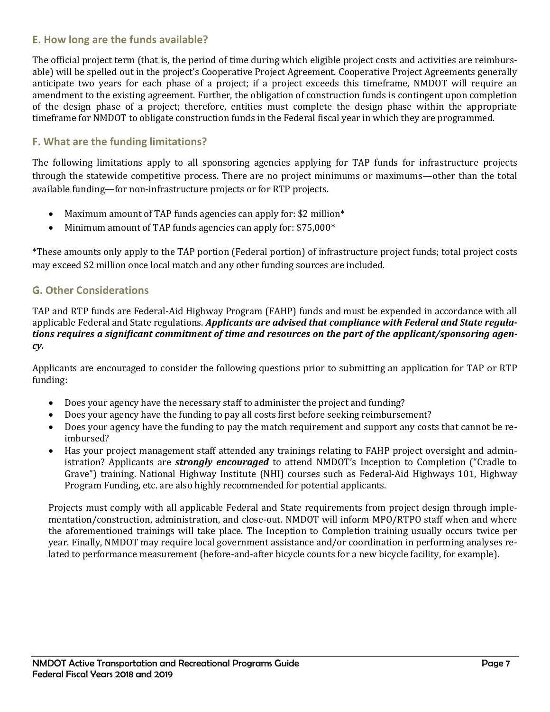# <span id="page-9-0"></span>**E. How long are the funds available?**

The official project term (that is, the period of time during which eligible project costs and activities are reimbursable) will be spelled out in the project's Cooperative Project Agreement. Cooperative Project Agreements generally anticipate two years for each phase of a project; if a project exceeds this timeframe, NMDOT will require an amendment to the existing agreement. Further, the obligation of construction funds is contingent upon completion of the design phase of a project; therefore, entities must complete the design phase within the appropriate timeframe for NMDOT to obligate construction funds in the Federal fiscal year in which they are programmed.

# <span id="page-9-1"></span>**F. What are the funding limitations?**

The following limitations apply to all sponsoring agencies applying for TAP funds for infrastructure projects through the statewide competitive process. There are no project minimums or maximums—other than the total available funding—for non-infrastructure projects or for RTP projects.

- Maximum amount of TAP funds agencies can apply for: \$2 million\*
- Minimum amount of TAP funds agencies can apply for: \$75,000\*

\*These amounts only apply to the TAP portion (Federal portion) of infrastructure project funds; total project costs may exceed \$2 million once local match and any other funding sources are included.

# <span id="page-9-2"></span>**G. Other Considerations**

TAP and RTP funds are Federal-Aid Highway Program (FAHP) funds and must be expended in accordance with all applicable Federal and State regulations. *Applicants are advised that compliance with Federal and State regulations requires a significant commitment of time and resources on the part of the applicant/sponsoring agency.*

Applicants are encouraged to consider the following questions prior to submitting an application for TAP or RTP funding:

- Does your agency have the necessary staff to administer the project and funding?
- Does your agency have the funding to pay all costs first before seeking reimbursement?
- Does your agency have the funding to pay the match requirement and support any costs that cannot be reimbursed?
- Has your project management staff attended any trainings relating to FAHP project oversight and administration? Applicants are *strongly encouraged* to attend NMDOT's Inception to Completion ("Cradle to Grave") training. National Highway Institute (NHI) courses such as Federal-Aid Highways 101, Highway Program Funding, etc. are also highly recommended for potential applicants.

Projects must comply with all applicable Federal and State requirements from project design through implementation/construction, administration, and close-out. NMDOT will inform MPO/RTPO staff when and where the aforementioned trainings will take place. The Inception to Completion training usually occurs twice per year. Finally, NMDOT may require local government assistance and/or coordination in performing analyses related to performance measurement (before-and-after bicycle counts for a new bicycle facility, for example).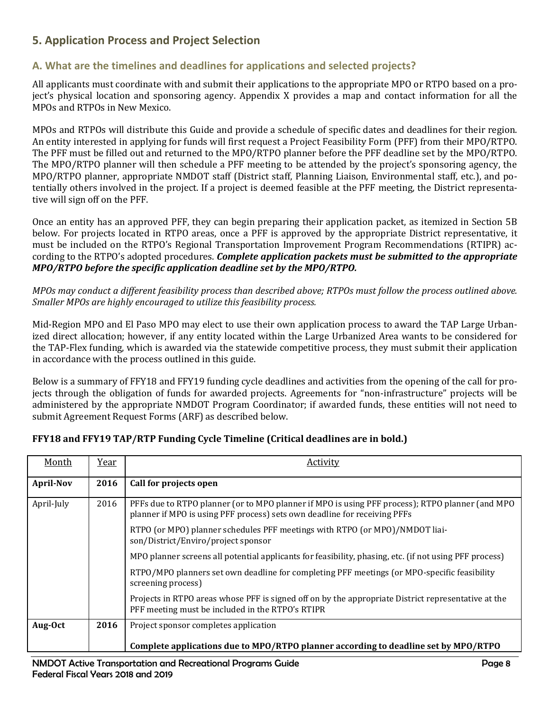# <span id="page-10-0"></span>**5. Application Process and Project Selection**

# <span id="page-10-1"></span>**A. What are the timelines and deadlines for applications and selected projects?**

All applicants must coordinate with and submit their applications to the appropriate MPO or RTPO based on a project's physical location and sponsoring agency. Appendix X provides a map and contact information for all the MPOs and RTPOs in New Mexico.

MPOs and RTPOs will distribute this Guide and provide a schedule of specific dates and deadlines for their region. An entity interested in applying for funds will first request a Project Feasibility Form (PFF) from their MPO/RTPO. The PFF must be filled out and returned to the MPO/RTPO planner before the PFF deadline set by the MPO/RTPO. The MPO/RTPO planner will then schedule a PFF meeting to be attended by the project's sponsoring agency, the MPO/RTPO planner, appropriate NMDOT staff (District staff, Planning Liaison, Environmental staff, etc.), and potentially others involved in the project. If a project is deemed feasible at the PFF meeting, the District representative will sign off on the PFF.

Once an entity has an approved PFF, they can begin preparing their application packet, as itemized in Section 5B below. For projects located in RTPO areas, once a PFF is approved by the appropriate District representative, it must be included on the RTPO's Regional Transportation Improvement Program Recommendations (RTIPR) according to the RTPO's adopted procedures. *Complete application packets must be submitted to the appropriate MPO/RTPO before the specific application deadline set by the MPO/RTPO.*

*MPOs may conduct a different feasibility process than described above; RTPOs must follow the process outlined above. Smaller MPOs are highly encouraged to utilize this feasibility process.*

Mid-Region MPO and El Paso MPO may elect to use their own application process to award the TAP Large Urbanized direct allocation; however, if any entity located within the Large Urbanized Area wants to be considered for the TAP-Flex funding, which is awarded via the statewide competitive process, they must submit their application in accordance with the process outlined in this guide.

Below is a summary of FFY18 and FFY19 funding cycle deadlines and activities from the opening of the call for projects through the obligation of funds for awarded projects. Agreements for "non-infrastructure" projects will be administered by the appropriate NMDOT Program Coordinator; if awarded funds, these entities will not need to submit Agreement Request Forms (ARF) as described below.

| Month            | Year | Activity                                                                                                                                                                     |
|------------------|------|------------------------------------------------------------------------------------------------------------------------------------------------------------------------------|
| <b>April-Nov</b> | 2016 | Call for projects open                                                                                                                                                       |
| April-July       | 2016 | PFFs due to RTPO planner (or to MPO planner if MPO is using PFF process); RTPO planner (and MPO<br>planner if MPO is using PFF process) sets own deadline for receiving PFFs |
|                  |      | RTPO (or MPO) planner schedules PFF meetings with RTPO (or MPO)/NMDOT liai-<br>son/District/Enviro/project sponsor                                                           |
|                  |      | MPO planner screens all potential applicants for feasibility, phasing, etc. (if not using PFF process)                                                                       |
|                  |      | RTPO/MPO planners set own deadline for completing PFF meetings (or MPO-specific feasibility<br>screening process)                                                            |
|                  |      | Projects in RTPO areas whose PFF is signed off on by the appropriate District representative at the<br>PFF meeting must be included in the RTPO's RTIPR                      |
| Aug-Oct          | 2016 | Project sponsor completes application                                                                                                                                        |
|                  |      | Complete applications due to MPO/RTPO planner according to deadline set by MPO/RTPO                                                                                          |

# **FFY18 and FFY19 TAP/RTP Funding Cycle Timeline (Critical deadlines are in bold.)**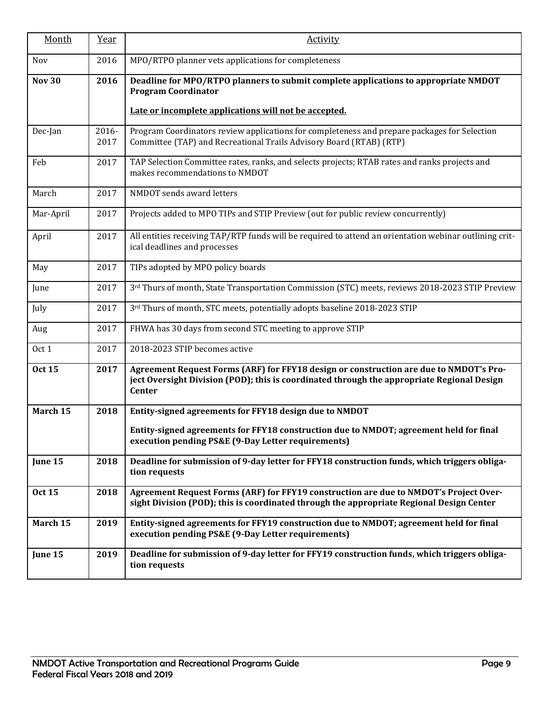| Month         | Year          | <b>Activity</b>                                                                                                                                                                                       |
|---------------|---------------|-------------------------------------------------------------------------------------------------------------------------------------------------------------------------------------------------------|
| Nov           | 2016          | MPO/RTPO planner vets applications for completeness                                                                                                                                                   |
| <b>Nov 30</b> | 2016          | Deadline for MPO/RTPO planners to submit complete applications to appropriate NMDOT<br><b>Program Coordinator</b><br>Late or incomplete applications will not be accepted.                            |
|               |               |                                                                                                                                                                                                       |
| Dec-Jan       | 2016-<br>2017 | Program Coordinators review applications for completeness and prepare packages for Selection<br>Committee (TAP) and Recreational Trails Advisory Board (RTAB) (RTP)                                   |
| Feb           | 2017          | TAP Selection Committee rates, ranks, and selects projects; RTAB rates and ranks projects and<br>makes recommendations to NMDOT                                                                       |
| March         | 2017          | NMDOT sends award letters                                                                                                                                                                             |
| Mar-April     | 2017          | Projects added to MPO TIPs and STIP Preview (out for public review concurrently)                                                                                                                      |
| April         | 2017          | All entities receiving TAP/RTP funds will be required to attend an orientation webinar outlining crit-<br>ical deadlines and processes                                                                |
| May           | 2017          | TIPs adopted by MPO policy boards                                                                                                                                                                     |
| June          | 2017          | 3rd Thurs of month, State Transportation Commission (STC) meets, reviews 2018-2023 STIP Preview                                                                                                       |
| July          | 2017          | 3rd Thurs of month, STC meets, potentially adopts baseline 2018-2023 STIP                                                                                                                             |
| Aug           | 2017          | FHWA has 30 days from second STC meeting to approve STIP                                                                                                                                              |
| Oct 1         | 2017          | 2018-2023 STIP becomes active                                                                                                                                                                         |
| <b>Oct 15</b> | 2017          | Agreement Request Forms (ARF) for FFY18 design or construction are due to NMDOT's Pro-<br>ject Oversight Division (POD); this is coordinated through the appropriate Regional Design<br><b>Center</b> |
| March 15      | 2018          | Entity-signed agreements for FFY18 design due to NMDOT                                                                                                                                                |
|               |               | Entity-signed agreements for FFY18 construction due to NMDOT; agreement held for final<br>execution pending PS&E (9-Day Letter requirements)                                                          |
| June 15       | 2018          | Deadline for submission of 9-day letter for FFY18 construction funds, which triggers obliga-<br>tion requests                                                                                         |
| <b>Oct 15</b> | 2018          | Agreement Request Forms (ARF) for FFY19 construction are due to NMDOT's Project Over-<br>sight Division (POD); this is coordinated through the appropriate Regional Design Center                     |
| March 15      | 2019          | Entity-signed agreements for FFY19 construction due to NMDOT; agreement held for final<br>execution pending PS&E (9-Day Letter requirements)                                                          |
| June 15       | 2019          | Deadline for submission of 9-day letter for FFY19 construction funds, which triggers obliga-<br>tion requests                                                                                         |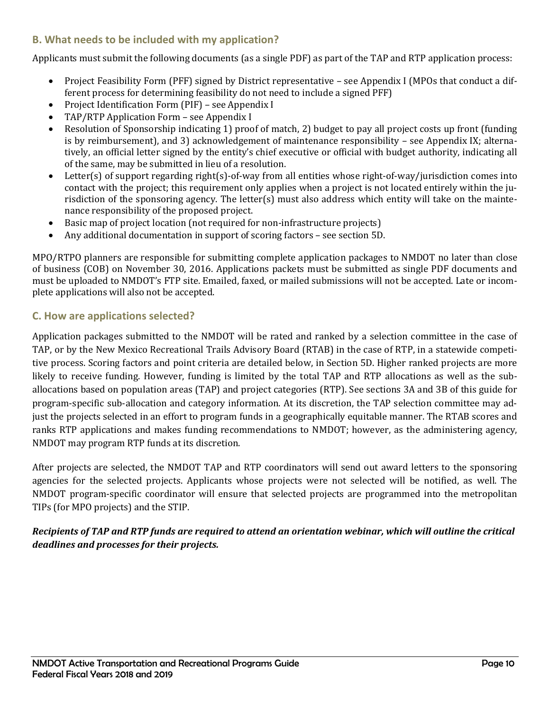# <span id="page-12-0"></span>**B. What needs to be included with my application?**

Applicants must submit the following documents (as a single PDF) as part of the TAP and RTP application process:

- Project Feasibility Form (PFF) signed by District representative see Appendix I (MPOs that conduct a different process for determining feasibility do not need to include a signed PFF)
- Project Identification Form (PIF) see Appendix I
- TAP/RTP Application Form see Appendix I
- Resolution of Sponsorship indicating 1) proof of match, 2) budget to pay all project costs up front (funding is by reimbursement), and 3) acknowledgement of maintenance responsibility – see Appendix IX; alternatively, an official letter signed by the entity's chief executive or official with budget authority, indicating all of the same, may be submitted in lieu of a resolution.
- Letter(s) of support regarding right(s)-of-way from all entities whose right-of-way/jurisdiction comes into contact with the project; this requirement only applies when a project is not located entirely within the jurisdiction of the sponsoring agency. The letter(s) must also address which entity will take on the maintenance responsibility of the proposed project.
- Basic map of project location (not required for non-infrastructure projects)
- Any additional documentation in support of scoring factors see section 5D.

MPO/RTPO planners are responsible for submitting complete application packages to NMDOT no later than close of business (COB) on November 30, 2016. Applications packets must be submitted as single PDF documents and must be uploaded to NMDOT's FTP site. Emailed, faxed, or mailed submissions will not be accepted. Late or incomplete applications will also not be accepted.

# <span id="page-12-1"></span>**C. How are applications selected?**

Application packages submitted to the NMDOT will be rated and ranked by a selection committee in the case of TAP, or by the New Mexico Recreational Trails Advisory Board (RTAB) in the case of RTP, in a statewide competitive process. Scoring factors and point criteria are detailed below, in Section 5D. Higher ranked projects are more likely to receive funding. However, funding is limited by the total TAP and RTP allocations as well as the suballocations based on population areas (TAP) and project categories (RTP). See sections 3A and 3B of this guide for program-specific sub-allocation and category information. At its discretion, the TAP selection committee may adjust the projects selected in an effort to program funds in a geographically equitable manner. The RTAB scores and ranks RTP applications and makes funding recommendations to NMDOT; however, as the administering agency, NMDOT may program RTP funds at its discretion.

After projects are selected, the NMDOT TAP and RTP coordinators will send out award letters to the sponsoring agencies for the selected projects. Applicants whose projects were not selected will be notified, as well. The NMDOT program-specific coordinator will ensure that selected projects are programmed into the metropolitan TIPs (for MPO projects) and the STIP.

# *Recipients of TAP and RTP funds are required to attend an orientation webinar, which will outline the critical deadlines and processes for their projects.*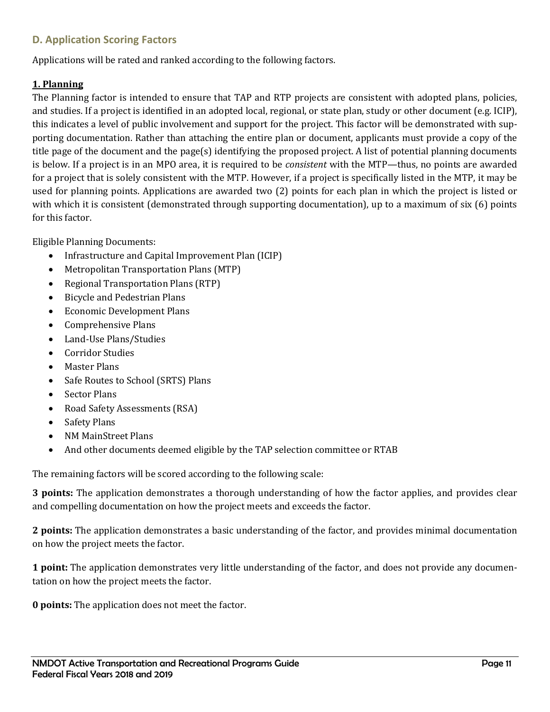# <span id="page-13-0"></span>**D. Application Scoring Factors**

Applications will be rated and ranked according to the following factors.

### **1. Planning**

The Planning factor is intended to ensure that TAP and RTP projects are consistent with adopted plans, policies, and studies. If a project is identified in an adopted local, regional, or state plan, study or other document (e.g. ICIP), this indicates a level of public involvement and support for the project. This factor will be demonstrated with supporting documentation. Rather than attaching the entire plan or document, applicants must provide a copy of the title page of the document and the page(s) identifying the proposed project. A list of potential planning documents is below. If a project is in an MPO area, it is required to be *consistent* with the MTP—thus, no points are awarded for a project that is solely consistent with the MTP. However, if a project is specifically listed in the MTP, it may be used for planning points. Applications are awarded two (2) points for each plan in which the project is listed or with which it is consistent (demonstrated through supporting documentation), up to a maximum of six (6) points for this factor.

Eligible Planning Documents:

- Infrastructure and Capital Improvement Plan (ICIP)
- Metropolitan Transportation Plans (MTP)
- Regional Transportation Plans (RTP)
- Bicycle and Pedestrian Plans
- Economic Development Plans
- Comprehensive Plans
- Land-Use Plans/Studies
- Corridor Studies
- Master Plans
- Safe Routes to School (SRTS) Plans
- **Sector Plans**
- Road Safety Assessments (RSA)
- Safety Plans
- NM MainStreet Plans
- And other documents deemed eligible by the TAP selection committee or RTAB

The remaining factors will be scored according to the following scale:

**3 points:** The application demonstrates a thorough understanding of how the factor applies, and provides clear and compelling documentation on how the project meets and exceeds the factor.

**2 points:** The application demonstrates a basic understanding of the factor, and provides minimal documentation on how the project meets the factor.

**1 point:** The application demonstrates very little understanding of the factor, and does not provide any documentation on how the project meets the factor.

**0 points:** The application does not meet the factor.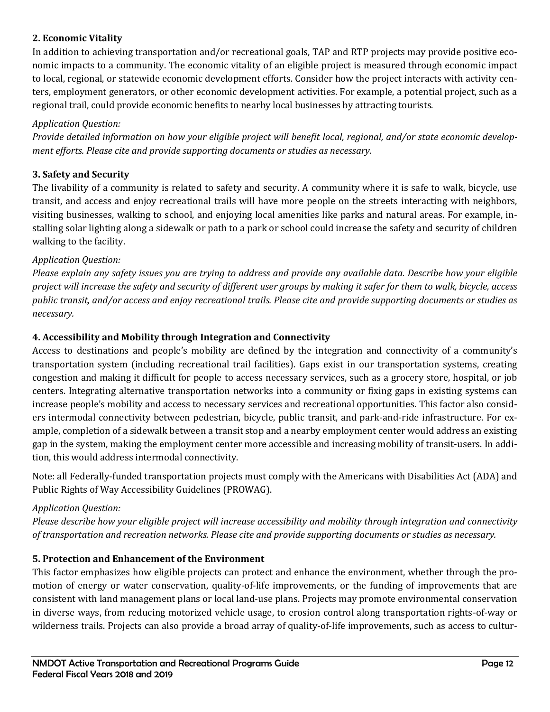# **2. Economic Vitality**

In addition to achieving transportation and/or recreational goals, TAP and RTP projects may provide positive economic impacts to a community. The economic vitality of an eligible project is measured through economic impact to local, regional, or statewide economic development efforts. Consider how the project interacts with activity centers, employment generators, or other economic development activities. For example, a potential project, such as a regional trail, could provide economic benefits to nearby local businesses by attracting tourists.

### *Application Question:*

*Provide detailed information on how your eligible project will benefit local, regional, and/or state economic development efforts. Please cite and provide supporting documents or studies as necessary.*

### **3. Safety and Security**

The livability of a community is related to safety and security. A community where it is safe to walk, bicycle, use transit, and access and enjoy recreational trails will have more people on the streets interacting with neighbors, visiting businesses, walking to school, and enjoying local amenities like parks and natural areas. For example, installing solar lighting along a sidewalk or path to a park or school could increase the safety and security of children walking to the facility.

#### *Application Question:*

*Please explain any safety issues you are trying to address and provide any available data. Describe how your eligible project will increase the safety and security of different user groups by making it safer for them to walk, bicycle, access public transit, and/or access and enjoy recreational trails. Please cite and provide supporting documents or studies as necessary.*

### **4. Accessibility and Mobility through Integration and Connectivity**

Access to destinations and people's mobility are defined by the integration and connectivity of a community's transportation system (including recreational trail facilities). Gaps exist in our transportation systems, creating congestion and making it difficult for people to access necessary services, such as a grocery store, hospital, or job centers. Integrating alternative transportation networks into a community or fixing gaps in existing systems can increase people's mobility and access to necessary services and recreational opportunities. This factor also considers intermodal connectivity between pedestrian, bicycle, public transit, and park-and-ride infrastructure. For example, completion of a sidewalk between a transit stop and a nearby employment center would address an existing gap in the system, making the employment center more accessible and increasing mobility of transit-users. In addition, this would address intermodal connectivity.

Note: all Federally-funded transportation projects must comply with the Americans with Disabilities Act (ADA) and Public Rights of Way Accessibility Guidelines (PROWAG).

#### *Application Question:*

*Please describe how your eligible project will increase accessibility and mobility through integration and connectivity of transportation and recreation networks. Please cite and provide supporting documents or studies as necessary.*

# **5. Protection and Enhancement of the Environment**

This factor emphasizes how eligible projects can protect and enhance the environment, whether through the promotion of energy or water conservation, quality-of-life improvements, or the funding of improvements that are consistent with land management plans or local land-use plans. Projects may promote environmental conservation in diverse ways, from reducing motorized vehicle usage, to erosion control along transportation rights-of-way or wilderness trails. Projects can also provide a broad array of quality-of-life improvements, such as access to cultur-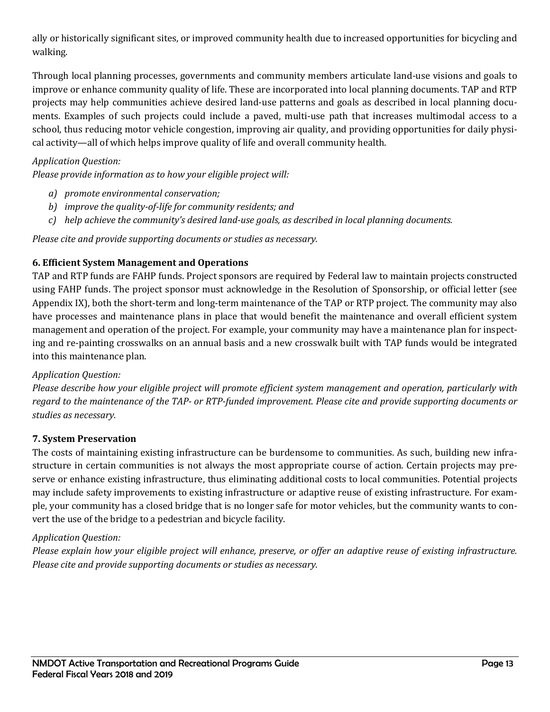ally or historically significant sites, or improved community health due to increased opportunities for bicycling and walking.

Through local planning processes, governments and community members articulate land-use visions and goals to improve or enhance community quality of life. These are incorporated into local planning documents. TAP and RTP projects may help communities achieve desired land-use patterns and goals as described in local planning documents. Examples of such projects could include a paved, multi-use path that increases multimodal access to a school, thus reducing motor vehicle congestion, improving air quality, and providing opportunities for daily physical activity—all of which helps improve quality of life and overall community health.

# *Application Question:*

*Please provide information as to how your eligible project will:*

- *a) promote environmental conservation;*
- *b) improve the quality-of-life for community residents; and*
- *c) help achieve the community's desired land-use goals, as described in local planning documents.*

*Please cite and provide supporting documents or studies as necessary.*

#### **6. Efficient System Management and Operations**

TAP and RTP funds are FAHP funds. Project sponsors are required by Federal law to maintain projects constructed using FAHP funds. The project sponsor must acknowledge in the Resolution of Sponsorship, or official letter (see Appendix IX), both the short-term and long-term maintenance of the TAP or RTP project. The community may also have processes and maintenance plans in place that would benefit the maintenance and overall efficient system management and operation of the project. For example, your community may have a maintenance plan for inspecting and re-painting crosswalks on an annual basis and a new crosswalk built with TAP funds would be integrated into this maintenance plan.

#### *Application Question:*

*Please describe how your eligible project will promote efficient system management and operation, particularly with regard to the maintenance of the TAP- or RTP-funded improvement. Please cite and provide supporting documents or studies as necessary.*

#### **7. System Preservation**

The costs of maintaining existing infrastructure can be burdensome to communities. As such, building new infrastructure in certain communities is not always the most appropriate course of action. Certain projects may preserve or enhance existing infrastructure, thus eliminating additional costs to local communities. Potential projects may include safety improvements to existing infrastructure or adaptive reuse of existing infrastructure. For example, your community has a closed bridge that is no longer safe for motor vehicles, but the community wants to convert the use of the bridge to a pedestrian and bicycle facility.

#### *Application Question:*

*Please explain how your eligible project will enhance, preserve, or offer an adaptive reuse of existing infrastructure. Please cite and provide supporting documents or studies as necessary.*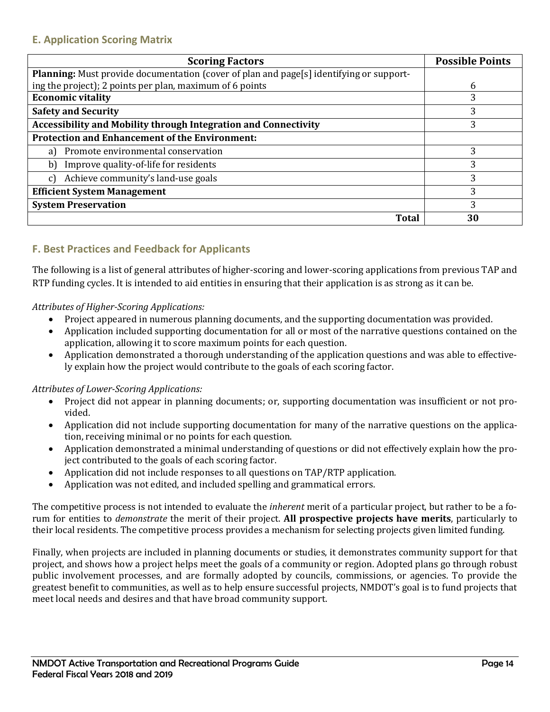<span id="page-16-0"></span>

| <b>Scoring Factors</b>                                                                         | <b>Possible Points</b> |
|------------------------------------------------------------------------------------------------|------------------------|
| <b>Planning:</b> Must provide documentation (cover of plan and page[s] identifying or support- |                        |
| ing the project); 2 points per plan, maximum of 6 points                                       | 6                      |
| <b>Economic vitality</b>                                                                       | 3                      |
| <b>Safety and Security</b>                                                                     | 3                      |
| <b>Accessibility and Mobility through Integration and Connectivity</b>                         | 3                      |
| <b>Protection and Enhancement of the Environment:</b>                                          |                        |
| Promote environmental conservation<br>a)                                                       | 3                      |
| Improve quality-of-life for residents<br>b)                                                    | 3                      |
| Achieve community's land-use goals<br>$\mathcal{C}$                                            | 3                      |
| <b>Efficient System Management</b>                                                             | 3                      |
| <b>System Preservation</b>                                                                     | 3                      |
| <b>Total</b>                                                                                   | 30                     |

# <span id="page-16-1"></span>**F. Best Practices and Feedback for Applicants**

The following is a list of general attributes of higher-scoring and lower-scoring applications from previous TAP and RTP funding cycles. It is intended to aid entities in ensuring that their application is as strong as it can be.

*Attributes of Higher-Scoring Applications:*

- Project appeared in numerous planning documents, and the supporting documentation was provided.
- Application included supporting documentation for all or most of the narrative questions contained on the application, allowing it to score maximum points for each question.
- Application demonstrated a thorough understanding of the application questions and was able to effectively explain how the project would contribute to the goals of each scoring factor.

# *Attributes of Lower-Scoring Applications:*

- Project did not appear in planning documents; or, supporting documentation was insufficient or not provided.
- Application did not include supporting documentation for many of the narrative questions on the application, receiving minimal or no points for each question.
- Application demonstrated a minimal understanding of questions or did not effectively explain how the project contributed to the goals of each scoring factor.
- Application did not include responses to all questions on TAP/RTP application.
- Application was not edited, and included spelling and grammatical errors.

The competitive process is not intended to evaluate the *inherent* merit of a particular project, but rather to be a forum for entities to *demonstrate* the merit of their project. **All prospective projects have merits**, particularly to their local residents. The competitive process provides a mechanism for selecting projects given limited funding.

Finally, when projects are included in planning documents or studies, it demonstrates community support for that project, and shows how a project helps meet the goals of a community or region. Adopted plans go through robust public involvement processes, and are formally adopted by councils, commissions, or agencies. To provide the greatest benefit to communities, as well as to help ensure successful projects, NMDOT's goal is to fund projects that meet local needs and desires and that have broad community support.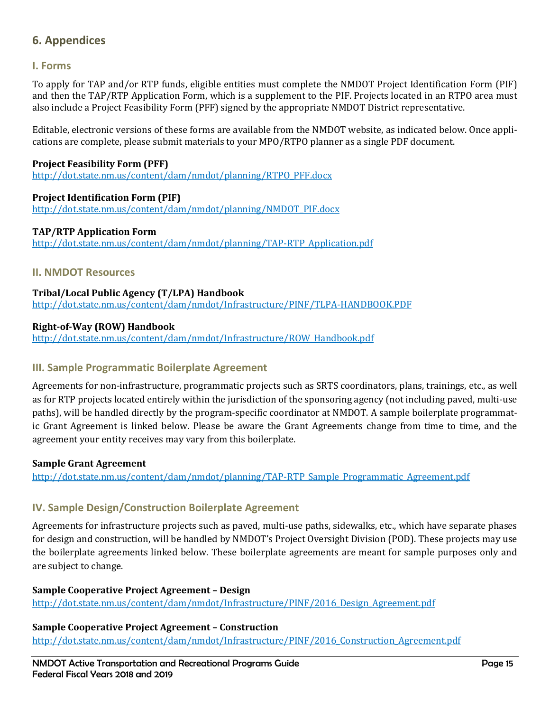# <span id="page-17-0"></span>**6. Appendices**

### <span id="page-17-1"></span>**I. Forms**

To apply for TAP and/or RTP funds, eligible entities must complete the NMDOT Project Identification Form (PIF) and then the TAP/RTP Application Form, which is a supplement to the PIF. Projects located in an RTPO area must also include a Project Feasibility Form (PFF) signed by the appropriate NMDOT District representative.

Editable, electronic versions of these forms are available from the NMDOT website, as indicated below. Once applications are complete, please submit materials to your MPO/RTPO planner as a single PDF document.

#### **Project Feasibility Form (PFF)**

[http://dot.state.nm.us/content/dam/nmdot/planning/RTPO\\_PFF.docx](http://dot.state.nm.us/content/dam/nmdot/planning/RTPO_PFF.docx)

#### **Project Identification Form (PIF)**

[http://dot.state.nm.us/content/dam/nmdot/planning/NMDOT\\_PIF.docx](http://dot.state.nm.us/content/dam/nmdot/planning/NMDOT_PIF.docx)

#### **TAP/RTP Application Form**

[http://dot.state.nm.us/content/dam/nmdot/planning/TAP-RTP\\_Application.pdf](http://dot.state.nm.us/content/dam/nmdot/planning/TAP-RTP_Application.pdf)

#### <span id="page-17-2"></span>**II. NMDOT Resources**

**Tribal/Local Public Agency (T/LPA) Handbook** <http://dot.state.nm.us/content/dam/nmdot/Infrastructure/PINF/TLPA-HANDBOOK.PDF>

#### **Right-of-Way (ROW) Handbook**

[http://dot.state.nm.us/content/dam/nmdot/Infrastructure/ROW\\_Handbook.pdf](http://dot.state.nm.us/content/dam/nmdot/Infrastructure/ROW_Handbook.pdf)

#### <span id="page-17-3"></span>**III. Sample Programmatic Boilerplate Agreement**

Agreements for non-infrastructure, programmatic projects such as SRTS coordinators, plans, trainings, etc., as well as for RTP projects located entirely within the jurisdiction of the sponsoring agency (not including paved, multi-use paths), will be handled directly by the program-specific coordinator at NMDOT. A sample boilerplate programmatic Grant Agreement is linked below. Please be aware the Grant Agreements change from time to time, and the agreement your entity receives may vary from this boilerplate.

#### **Sample Grant Agreement**

[http://dot.state.nm.us/content/dam/nmdot/planning/TAP-RTP\\_Sample\\_Programmatic\\_Agreement.pdf](http://dot.state.nm.us/content/dam/nmdot/planning/TAP-RTP_Sample_Programmatic_Agreement.pdf)

# <span id="page-17-4"></span>**IV. Sample Design/Construction Boilerplate Agreement**

Agreements for infrastructure projects such as paved, multi-use paths, sidewalks, etc., which have separate phases for design and construction, will be handled by NMDOT's Project Oversight Division (POD). These projects may use the boilerplate agreements linked below. These boilerplate agreements are meant for sample purposes only and are subject to change.

#### **Sample Cooperative Project Agreement – Design**

[http://dot.state.nm.us/content/dam/nmdot/Infrastructure/PINF/2016\\_Design\\_Agreement.pdf](http://dot.state.nm.us/content/dam/nmdot/Infrastructure/PINF/2016_Design_Agreement.pdf)

#### **Sample Cooperative Project Agreement – Construction**

[http://dot.state.nm.us/content/dam/nmdot/Infrastructure/PINF/2016\\_Construction\\_Agreement.pdf](http://dot.state.nm.us/content/dam/nmdot/Infrastructure/PINF/2016_Construction_Agreement.pdf)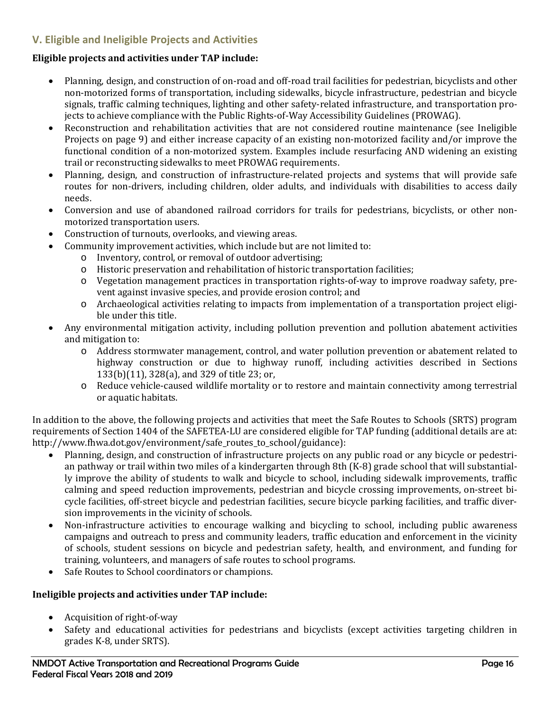# <span id="page-18-0"></span>**V. Eligible and Ineligible Projects and Activities**

#### **Eligible projects and activities under TAP include:**

- Planning, design, and construction of on-road and off-road trail facilities for pedestrian, bicyclists and other non-motorized forms of transportation, including sidewalks, bicycle infrastructure, pedestrian and bicycle signals, traffic calming techniques, lighting and other safety-related infrastructure, and transportation projects to achieve compliance with the Public Rights-of-Way Accessibility Guidelines (PROWAG).
- Reconstruction and rehabilitation activities that are not considered routine maintenance (see Ineligible Projects on page 9) and either increase capacity of an existing non-motorized facility and/or improve the functional condition of a non-motorized system. Examples include resurfacing AND widening an existing trail or reconstructing sidewalks to meet PROWAG requirements.
- Planning, design, and construction of infrastructure-related projects and systems that will provide safe routes for non-drivers, including children, older adults, and individuals with disabilities to access daily needs.
- Conversion and use of abandoned railroad corridors for trails for pedestrians, bicyclists, or other nonmotorized transportation users.
- Construction of turnouts, overlooks, and viewing areas.
- Community improvement activities, which include but are not limited to:
	- o Inventory, control, or removal of outdoor advertising;
	- o Historic preservation and rehabilitation of historic transportation facilities;
	- o Vegetation management practices in transportation rights-of-way to improve roadway safety, prevent against invasive species, and provide erosion control; and
	- o Archaeological activities relating to impacts from implementation of a transportation project eligible under this title.
- Any environmental mitigation activity, including pollution prevention and pollution abatement activities and mitigation to:
	- o Address stormwater management, control, and water pollution prevention or abatement related to highway construction or due to highway runoff, including activities described in Sections 133(b)(11), 328(a), and 329 of title 23; or,
	- o Reduce vehicle-caused wildlife mortality or to restore and maintain connectivity among terrestrial or aquatic habitats.

In addition to the above, the following projects and activities that meet the Safe Routes to Schools (SRTS) program requirements of Section 1404 of the SAFETEA-LU are considered eligible for TAP funding (additional details are at: http://www.fhwa.dot.gov/environment/safe\_routes\_to\_school/guidance):

- Planning, design, and construction of infrastructure projects on any public road or any bicycle or pedestrian pathway or trail within two miles of a kindergarten through 8th (K-8) grade school that will substantially improve the ability of students to walk and bicycle to school, including sidewalk improvements, traffic calming and speed reduction improvements, pedestrian and bicycle crossing improvements, on-street bicycle facilities, off-street bicycle and pedestrian facilities, secure bicycle parking facilities, and traffic diversion improvements in the vicinity of schools.
- Non-infrastructure activities to encourage walking and bicycling to school, including public awareness campaigns and outreach to press and community leaders, traffic education and enforcement in the vicinity of schools, student sessions on bicycle and pedestrian safety, health, and environment, and funding for training, volunteers, and managers of safe routes to school programs.
- Safe Routes to School coordinators or champions.

#### **Ineligible projects and activities under TAP include:**

- Acquisition of right-of-way
- Safety and educational activities for pedestrians and bicyclists (except activities targeting children in grades K-8, under SRTS).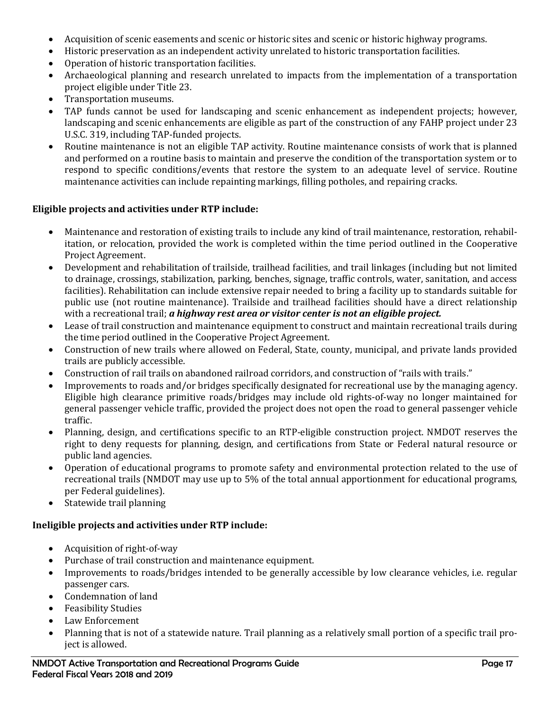- Acquisition of scenic easements and scenic or historic sites and scenic or historic highway programs.
- Historic preservation as an independent activity unrelated to historic transportation facilities.
- Operation of historic transportation facilities.
- Archaeological planning and research unrelated to impacts from the implementation of a transportation project eligible under Title 23.
- Transportation museums.
- TAP funds cannot be used for landscaping and scenic enhancement as independent projects; however, landscaping and scenic enhancements are eligible as part of the construction of any FAHP project under 23 U.S.C. 319, including TAP-funded projects.
- Routine maintenance is not an eligible TAP activity. Routine maintenance consists of work that is planned and performed on a routine basis to maintain and preserve the condition of the transportation system or to respond to specific conditions/events that restore the system to an adequate level of service. Routine maintenance activities can include repainting markings, filling potholes, and repairing cracks.

#### **Eligible projects and activities under RTP include:**

- Maintenance and restoration of existing trails to include any kind of trail maintenance, restoration, rehabilitation, or relocation, provided the work is completed within the time period outlined in the Cooperative Project Agreement.
- Development and rehabilitation of trailside, trailhead facilities, and trail linkages (including but not limited to drainage, crossings, stabilization, parking, benches, signage, traffic controls, water, sanitation, and access facilities). Rehabilitation can include extensive repair needed to bring a facility up to standards suitable for public use (not routine maintenance). Trailside and trailhead facilities should have a direct relationship with a recreational trail; *a highway rest area or visitor center is not an eligible project.*
- Lease of trail construction and maintenance equipment to construct and maintain recreational trails during the time period outlined in the Cooperative Project Agreement.
- Construction of new trails where allowed on Federal, State, county, municipal, and private lands provided trails are publicly accessible.
- Construction of rail trails on abandoned railroad corridors, and construction of "rails with trails."
- Improvements to roads and/or bridges specifically designated for recreational use by the managing agency. Eligible high clearance primitive roads/bridges may include old rights-of-way no longer maintained for general passenger vehicle traffic, provided the project does not open the road to general passenger vehicle traffic.
- Planning, design, and certifications specific to an RTP-eligible construction project. NMDOT reserves the right to deny requests for planning, design, and certifications from State or Federal natural resource or public land agencies.
- Operation of educational programs to promote safety and environmental protection related to the use of recreational trails (NMDOT may use up to 5% of the total annual apportionment for educational programs, per Federal guidelines).
- Statewide trail planning

#### **Ineligible projects and activities under RTP include:**

- Acquisition of right-of-way
- Purchase of trail construction and maintenance equipment.
- Improvements to roads/bridges intended to be generally accessible by low clearance vehicles, i.e. regular passenger cars.
- Condemnation of land
- Feasibility Studies
- Law Enforcement
- Planning that is not of a statewide nature. Trail planning as a relatively small portion of a specific trail project is allowed.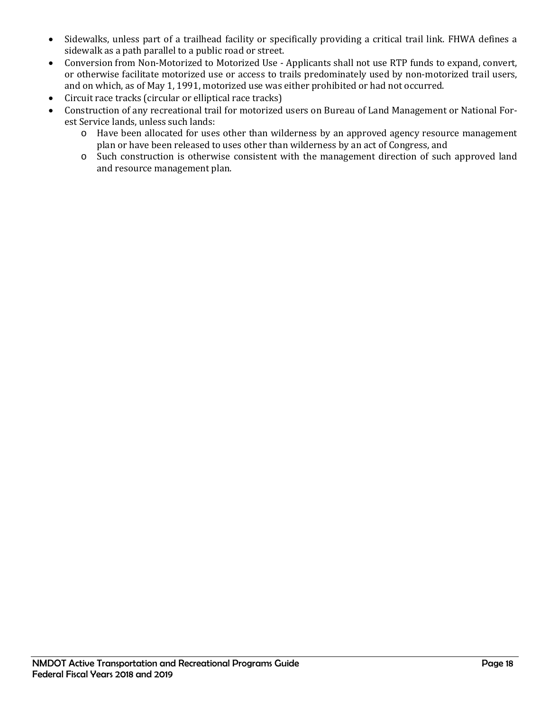- Sidewalks, unless part of a trailhead facility or specifically providing a critical trail link. FHWA defines a sidewalk as a path parallel to a public road or street.
- Conversion from Non-Motorized to Motorized Use Applicants shall not use RTP funds to expand, convert, or otherwise facilitate motorized use or access to trails predominately used by non-motorized trail users, and on which, as of May 1, 1991, motorized use was either prohibited or had not occurred.
- Circuit race tracks (circular or elliptical race tracks)
- Construction of any recreational trail for motorized users on Bureau of Land Management or National Forest Service lands, unless such lands:
	- o Have been allocated for uses other than wilderness by an approved agency resource management plan or have been released to uses other than wilderness by an act of Congress, and
	- o Such construction is otherwise consistent with the management direction of such approved land and resource management plan.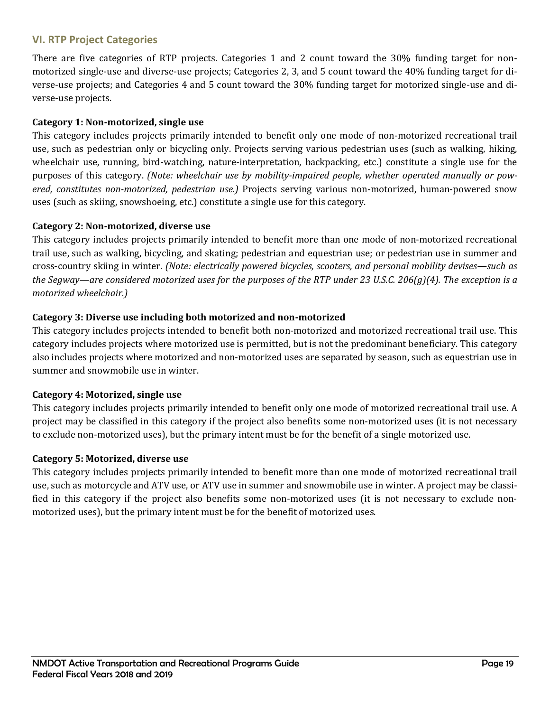# <span id="page-21-0"></span>**VI. RTP Project Categories**

There are five categories of RTP projects. Categories 1 and 2 count toward the 30% funding target for nonmotorized single-use and diverse-use projects; Categories 2, 3, and 5 count toward the 40% funding target for diverse-use projects; and Categories 4 and 5 count toward the 30% funding target for motorized single-use and diverse-use projects.

#### **Category 1: Non-motorized, single use**

This category includes projects primarily intended to benefit only one mode of non-motorized recreational trail use, such as pedestrian only or bicycling only. Projects serving various pedestrian uses (such as walking, hiking, wheelchair use, running, bird-watching, nature-interpretation, backpacking, etc.) constitute a single use for the purposes of this category. *(Note: wheelchair use by mobility-impaired people, whether operated manually or powered, constitutes non-motorized, pedestrian use.)* Projects serving various non-motorized, human-powered snow uses (such as skiing, snowshoeing, etc.) constitute a single use for this category.

#### **Category 2: Non-motorized, diverse use**

This category includes projects primarily intended to benefit more than one mode of non-motorized recreational trail use, such as walking, bicycling, and skating; pedestrian and equestrian use; or pedestrian use in summer and cross-country skiing in winter. *(Note: electrically powered bicycles, scooters, and personal mobility devises—such as the Segway—are considered motorized uses for the purposes of the RTP under 23 U.S.C. 206(g)(4). The exception is a motorized wheelchair.)*

#### **Category 3: Diverse use including both motorized and non-motorized**

This category includes projects intended to benefit both non-motorized and motorized recreational trail use. This category includes projects where motorized use is permitted, but is not the predominant beneficiary. This category also includes projects where motorized and non-motorized uses are separated by season, such as equestrian use in summer and snowmobile use in winter.

#### **Category 4: Motorized, single use**

This category includes projects primarily intended to benefit only one mode of motorized recreational trail use. A project may be classified in this category if the project also benefits some non-motorized uses (it is not necessary to exclude non-motorized uses), but the primary intent must be for the benefit of a single motorized use.

#### **Category 5: Motorized, diverse use**

This category includes projects primarily intended to benefit more than one mode of motorized recreational trail use, such as motorcycle and ATV use, or ATV use in summer and snowmobile use in winter. A project may be classified in this category if the project also benefits some non-motorized uses (it is not necessary to exclude nonmotorized uses), but the primary intent must be for the benefit of motorized uses.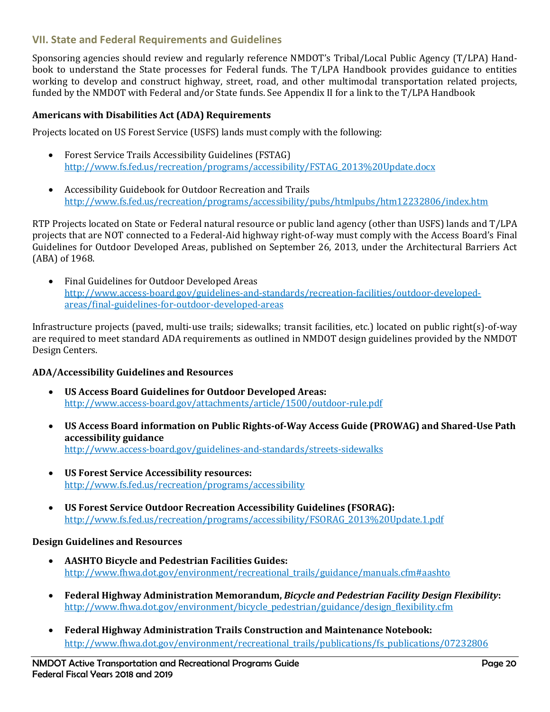# <span id="page-22-0"></span>**VII. State and Federal Requirements and Guidelines**

Sponsoring agencies should review and regularly reference NMDOT's Tribal/Local Public Agency (T/LPA) Handbook to understand the State processes for Federal funds. The T/LPA Handbook provides guidance to entities working to develop and construct highway, street, road, and other multimodal transportation related projects, funded by the NMDOT with Federal and/or State funds. See Appendix II for a link to the T/LPA Handbook

#### **Americans with Disabilities Act (ADA) Requirements**

Projects located on US Forest Service (USFS) lands must comply with the following:

- [Forest Service Trails Accessibility Guidelines \(FSTAG\)](http://www.fs.fed.us/recreation/programs/accessibility/FSTAG_2013%20Update.docx) [http://www.fs.fed.us/recreation/programs/accessibility/FSTAG\\_2013%20Update.docx](http://www.fs.fed.us/recreation/programs/accessibility/FSTAG_2013%20Update.docx)
- Accessibility Guidebook for [Outdoor Recreation and Trails](http://www.fs.fed.us/recreation/programs/accessibility/pubs/htmlpubs/htm12232806/index.htm) <http://www.fs.fed.us/recreation/programs/accessibility/pubs/htmlpubs/htm12232806/index.htm>

RTP Projects located on State or Federal natural resource or public land agency (other than USFS) lands and T/LPA projects that are NOT connected to a Federal-Aid highway right-of-way must comply with the Access Board's Final Guidelines for Outdoor Developed Areas, published on September 26, 2013, under the Architectural Barriers Act (ABA) of 1968.

• Final Guidelines for Outdoor Developed Areas [http://www.access-board.gov/guidelines-and-standards/recreation-facilities/outdoor-developed](http://www.access-board.gov/guidelines-and-standards/recreation-facilities/outdoor-developed-areas/final-guidelines-for-outdoor-developed-areas)[areas/final-guidelines-for-outdoor-developed-areas](http://www.access-board.gov/guidelines-and-standards/recreation-facilities/outdoor-developed-areas/final-guidelines-for-outdoor-developed-areas)

Infrastructure projects (paved, multi-use trails; sidewalks; transit facilities, etc.) located on public right(s)-of-way are required to meet standard ADA requirements as outlined in NMDOT design guidelines provided by the NMDOT Design Centers.

#### **ADA/Accessibility Guidelines and Resources**

- **US Access Board Guidelines for Outdoor Developed Areas:** <http://www.access-board.gov/attachments/article/1500/outdoor-rule.pdf>
- **US Access Board information on Public Rights-of-Way Access Guide (PROWAG) and Shared-Use Path accessibility guidance** <http://www.access-board.gov/guidelines-and-standards/streets-sidewalks>
- **US Forest Service Accessibility resources:**  <http://www.fs.fed.us/recreation/programs/accessibility>
- **US Forest Service Outdoor Recreation Accessibility Guidelines (FSORAG):** [http://www.fs.fed.us/recreation/programs/accessibility/FSORAG\\_2013%20Update.1.pdf](http://www.fs.fed.us/recreation/programs/accessibility/FSORAG_2013%20Update.1.pdf)

#### **Design Guidelines and Resources**

- **AASHTO Bicycle and Pedestrian Facilities Guides:** [http://www.fhwa.dot.gov/environment/recreational\\_trails/guidance/manuals.cfm#aashto](http://www.fhwa.dot.gov/environment/recreational_trails/guidance/manuals.cfm#aashto)
- **Federal Highway Administration Memorandum,** *Bicycle and Pedestrian Facility Design Flexibility***:** [http://www.fhwa.dot.gov/environment/bicycle\\_pedestrian/guidance/design\\_flexibility.cfm](http://www.fhwa.dot.gov/environment/bicycle_pedestrian/guidance/design_flexibility.cfm)
- **Federal Highway Administration Trails Construction and Maintenance Notebook:** [http://www.fhwa.dot.gov/environment/recreational\\_trails/publications/fs\\_publications/07232806](http://www.fhwa.dot.gov/environment/recreational_trails/publications/fs_publications/07232806)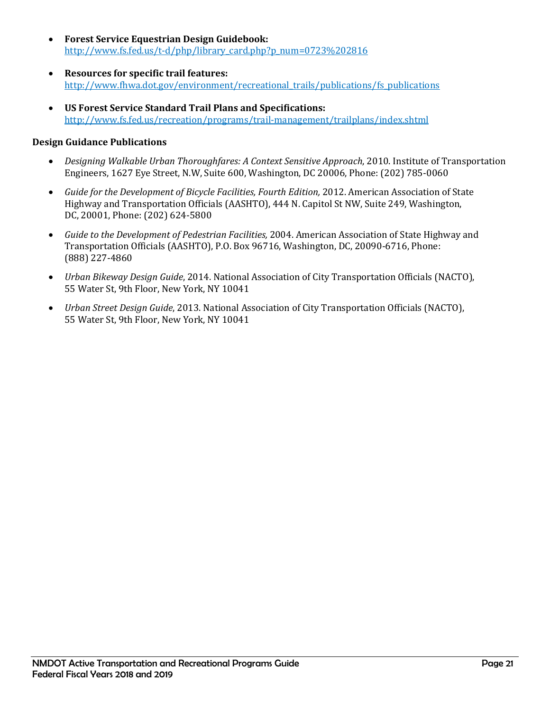- **Forest Service Equestrian Design Guidebook:** [http://www.fs.fed.us/t-d/php/library\\_card.php?p\\_num=0723%202816](http://www.fs.fed.us/t-d/php/library_card.php?p_num=0723%202816)
- **Resources for specific trail features:**  [http://www.fhwa.dot.gov/environment/recreational\\_trails/publications/fs\\_publications](http://www.fhwa.dot.gov/environment/recreational_trails/publications/fs_publications)
- **US Forest Service Standard Trail Plans and Specifications:** <http://www.fs.fed.us/recreation/programs/trail-management/trailplans/index.shtml>

#### **Design Guidance Publications**

- *Designing Walkable Urban Thoroughfares: A Context Sensitive Approach*, 2010. Institute of Transportation Engineers, 1627 Eye Street, N.W, Suite 600, Washington, DC 20006, Phone: (202) 785-0060
- Guide for the Development of Bicycle Facilities, Fourth Edition, 2012. American Association of State Highway and Transportation Officials (AASHTO), 444 N. Capitol St NW, Suite 249, Washington, DC, 20001, Phone: (202) 624-5800
- *Guide to the Development of Pedestrian Facilities,* 2004. American Association of State Highway and Transportation Officials (AASHTO), P.O. Box 96716, Washington, DC, 20090-6716, Phone: (888) 227-4860
- *Urban Bikeway Design Guide*, 2014. National Association of City Transportation Officials (NACTO), 55 Water St, 9th Floor, New York, NY 10041
- *Urban Street Design Guide*, 2013. National Association of City Transportation Officials (NACTO), 55 Water St, 9th Floor, New York, NY 10041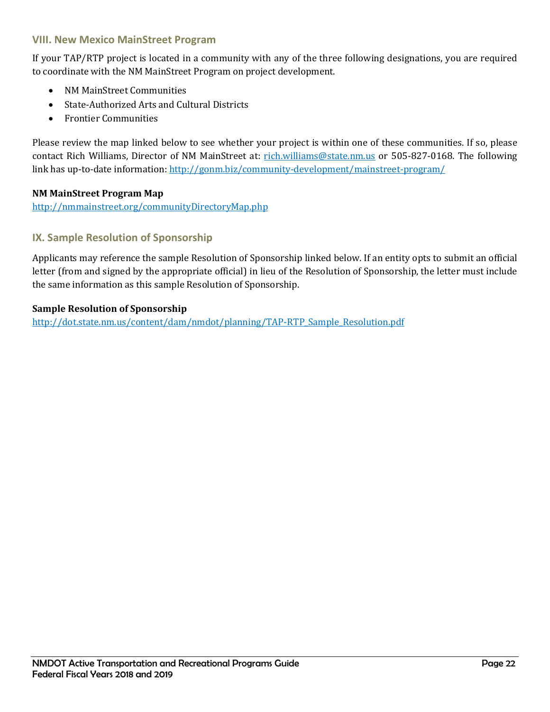### <span id="page-24-0"></span>**VIII. New Mexico MainStreet Program**

If your TAP/RTP project is located in a community with any of the three following designations, you are required to coordinate with the NM MainStreet Program on project development.

- NM MainStreet Communities
- State-Authorized Arts and Cultural Districts
- Frontier Communities

Please review the map linked below to see whether your project is within one of these communities. If so, please contact Rich Williams, Director of NM MainStreet at: [rich.williams@state.nm.us](mailto:rich.williams@state.nm.us) or 505-827-0168. The following link has up-to-date information[: http://gonm.biz/community-development/mainstreet-program/](http://gonm.biz/community-development/mainstreet-program/)

#### **NM MainStreet Program Map**

<http://nmmainstreet.org/communityDirectoryMap.php>

### <span id="page-24-1"></span>**IX. Sample Resolution of Sponsorship**

Applicants may reference the sample Resolution of Sponsorship linked below. If an entity opts to submit an official letter (from and signed by the appropriate official) in lieu of the Resolution of Sponsorship, the letter must include the same information as this sample Resolution of Sponsorship.

#### **Sample Resolution of Sponsorship**

[http://dot.state.nm.us/content/dam/nmdot/planning/TAP-RTP\\_Sample\\_Resolution.pdf](http://dot.state.nm.us/content/dam/nmdot/planning/TAP-RTP_Sample_Resolution.pdf)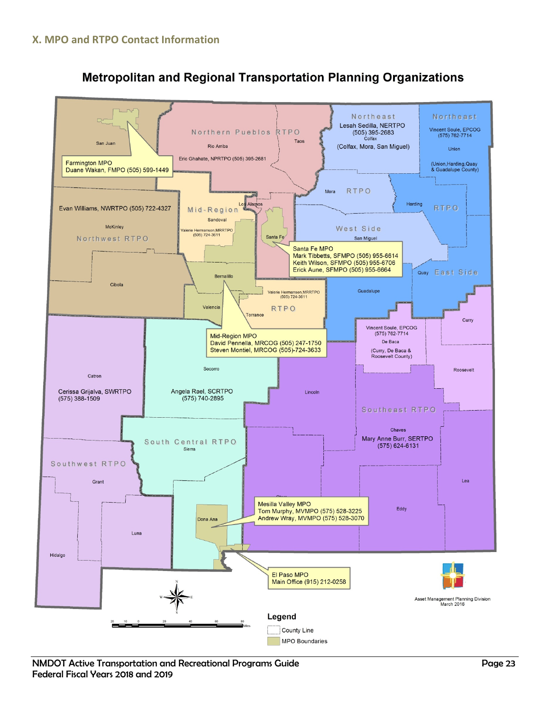<span id="page-25-0"></span>

# **Metropolitan and Regional Transportation Planning Organizations**